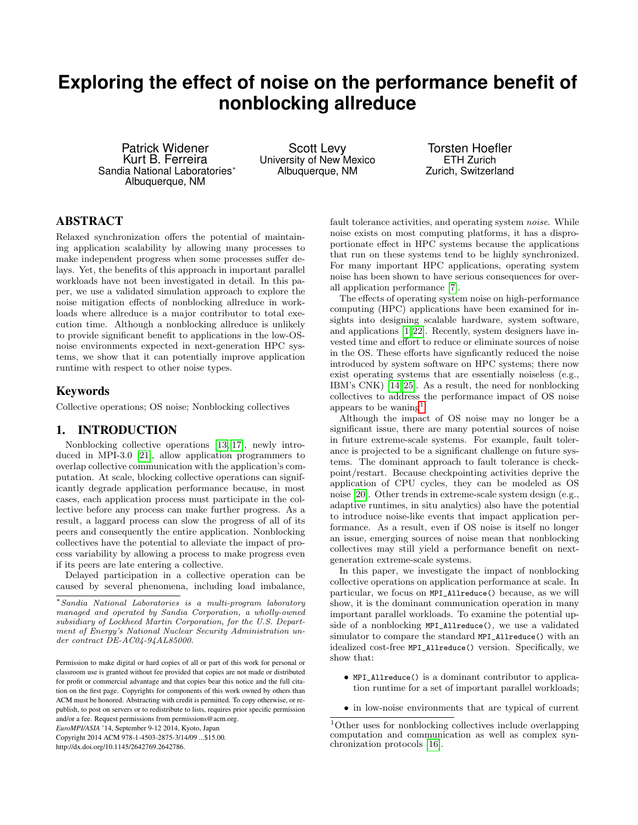# **Exploring the effect of noise on the performance benefit of nonblocking allreduce**

Patrick Widener Kurt B. Ferreira Sandia National Laboratories<sup>∗</sup> Albuquerque, NM

Scott Levy University of New Mexico Albuquerque, NM

Torsten Hoefler ETH Zurich Zurich, Switzerland

# ABSTRACT

Relaxed synchronization offers the potential of maintaining application scalability by allowing many processes to make independent progress when some processes suffer delays. Yet, the benefits of this approach in important parallel workloads have not been investigated in detail. In this paper, we use a validated simulation approach to explore the noise mitigation effects of nonblocking allreduce in workloads where allreduce is a major contributor to total execution time. Although a nonblocking allreduce is unlikely to provide significant benefit to applications in the low-OSnoise environments expected in next-generation HPC systems, we show that it can potentially improve application runtime with respect to other noise types.

# Keywords

Collective operations; OS noise; Nonblocking collectives

### 1. INTRODUCTION

Nonblocking collective operations [\[13,](#page-5-0) [17\]](#page-5-1), newly introduced in MPI-3.0 [\[21\]](#page-5-2), allow application programmers to overlap collective communication with the application's computation. At scale, blocking collective operations can significantly degrade application performance because, in most cases, each application process must participate in the collective before any process can make further progress. As a result, a laggard process can slow the progress of all of its peers and consequently the entire application. Nonblocking collectives have the potential to alleviate the impact of process variability by allowing a process to make progress even if its peers are late entering a collective.

Delayed participation in a collective operation can be caused by several phenomena, including load imbalance,

*EuroMPI/ASIA* '14, September 9-12 2014, Kyoto, Japan Copyright 2014 ACM 978-1-4503-2875-3/14/09 ...\$15.00.

http://dx.doi.org/10.1145/2642769.2642786.

fault tolerance activities, and operating system noise. While noise exists on most computing platforms, it has a disproportionate effect in HPC systems because the applications that run on these systems tend to be highly synchronized. For many important HPC applications, operating system noise has been shown to have serious consequences for overall application performance [\[7\]](#page-5-3).

The effects of operating system noise on high-performance computing (HPC) applications have been examined for insights into designing scalable hardware, system software, and applications [\[1,](#page-5-4) [22\]](#page-5-5). Recently, system designers have invested time and effort to reduce or eliminate sources of noise in the OS. These efforts have signficantly reduced the noise introduced by system software on HPC systems; there now exist operating systems that are essentially noiseless (e.g., IBM's CNK) [\[14,](#page-5-6) [25\]](#page-5-7). As a result, the need for nonblocking collectives to address the performance impact of OS noise appears to be waning<sup>[1](#page-0-0)</sup>.

Although the impact of OS noise may no longer be a significant issue, there are many potential sources of noise in future extreme-scale systems. For example, fault tolerance is projected to be a significant challenge on future systems. The dominant approach to fault tolerance is checkpoint/restart. Because checkpointing activities deprive the application of CPU cycles, they can be modeled as OS noise [\[20\]](#page-5-8). Other trends in extreme-scale system design (e.g., adaptive runtimes, in situ analytics) also have the potential to introduce noise-like events that impact application performance. As a result, even if OS noise is itself no longer an issue, emerging sources of noise mean that nonblocking collectives may still yield a performance benefit on nextgeneration extreme-scale systems.

In this paper, we investigate the impact of nonblocking collective operations on application performance at scale. In particular, we focus on MPI\_Allreduce() because, as we will show, it is the dominant communication operation in many important parallel workloads. To examine the potential upside of a nonblocking MPI\_Allreduce(), we use a validated simulator to compare the standard MPI\_Allreduce() with an idealized cost-free MPI\_Allreduce() version. Specifically, we show that:

- MPI\_Allreduce() is a dominant contributor to application runtime for a set of important parallel workloads;
- in low-noise environments that are typical of current

<sup>∗</sup> Sandia National Laboratories is a multi-program laboratory managed and operated by Sandia Corporation, a wholly-owned subsidiary of Lockheed Martin Corporation, for the U.S. Department of Energy's National Nuclear Security Administration under contract DE-AC04-94AL85000.

Permission to make digital or hard copies of all or part of this work for personal or classroom use is granted without fee provided that copies are not made or distributed for profit or commercial advantage and that copies bear this notice and the full citation on the first page. Copyrights for components of this work owned by others than ACM must be honored. Abstracting with credit is permitted. To copy otherwise, or republish, to post on servers or to redistribute to lists, requires prior specific permission and/or a fee. Request permissions from permissions@acm.org.

<span id="page-0-0"></span><sup>1</sup>Other uses for nonblocking collectives include overlapping computation and communication as well as complex synchronization protocols [\[16\]](#page-5-9).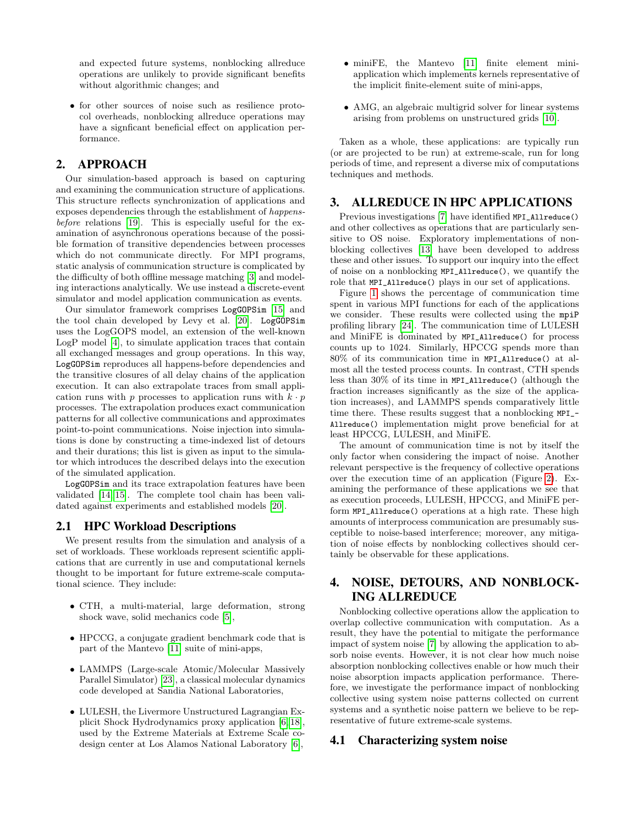and expected future systems, nonblocking allreduce operations are unlikely to provide significant benefits without algorithmic changes; and

• for other sources of noise such as resilience protocol overheads, nonblocking allreduce operations may have a signficant beneficial effect on application performance.

# 2. APPROACH

Our simulation-based approach is based on capturing and examining the communication structure of applications. This structure reflects synchronization of applications and exposes dependencies through the establishment of happensbefore relations [\[19\]](#page-5-10). This is especially useful for the examination of asynchronous operations because of the possible formation of transitive dependencies between processes which do not communicate directly. For MPI programs, static analysis of communication structure is complicated by the difficulty of both offline message matching [\[3\]](#page-5-11) and modeling interactions analytically. We use instead a discrete-event simulator and model application communication as events.

Our simulator framework comprises LogGOPSim [\[15\]](#page-5-12) and the tool chain developed by Levy et al. [\[20\]](#page-5-8). LogGOPSim uses the LogGOPS model, an extension of the well-known LogP model [\[4\]](#page-5-13), to simulate application traces that contain all exchanged messages and group operations. In this way, LogGOPSim reproduces all happens-before dependencies and the transitive closures of all delay chains of the application execution. It can also extrapolate traces from small application runs with p processes to application runs with  $k \cdot p$ processes. The extrapolation produces exact communication patterns for all collective communications and approximates point-to-point communications. Noise injection into simulations is done by constructing a time-indexed list of detours and their durations; this list is given as input to the simulator which introduces the described delays into the execution of the simulated application.

LogGOPSim and its trace extrapolation features have been validated [\[14,](#page-5-6) [15\]](#page-5-12). The complete tool chain has been validated against experiments and established models [\[20\]](#page-5-8).

# 2.1 HPC Workload Descriptions

We present results from the simulation and analysis of a set of workloads. These workloads represent scientific applications that are currently in use and computational kernels thought to be important for future extreme-scale computational science. They include:

- CTH, a multi-material, large deformation, strong shock wave, solid mechanics code [\[5\]](#page-5-14),
- HPCCG, a conjugate gradient benchmark code that is part of the Mantevo [\[11\]](#page-5-15) suite of mini-apps,
- LAMMPS (Large-scale Atomic/Molecular Massively Parallel Simulator) [\[23\]](#page-5-16), a classical molecular dynamics code developed at Sandia National Laboratories,
- LULESH, the Livermore Unstructured Lagrangian Explicit Shock Hydrodynamics proxy application [\[6,](#page-5-17) [18\]](#page-5-18), used by the Extreme Materials at Extreme Scale codesign center at Los Alamos National Laboratory [\[6\]](#page-5-17),
- miniFE, the Mantevo [\[11\]](#page-5-15) finite element miniapplication which implements kernels representative of the implicit finite-element suite of mini-apps,
- AMG, an algebraic multigrid solver for linear systems arising from problems on unstructured grids [\[10\]](#page-5-19).

Taken as a whole, these applications: are typically run (or are projected to be run) at extreme-scale, run for long periods of time, and represent a diverse mix of computations techniques and methods.

# 3. ALLREDUCE IN HPC APPLICATIONS

Previous investigations [\[7\]](#page-5-3) have identified MPI\_Allreduce() and other collectives as operations that are particularly sensitive to OS noise. Exploratory implementations of nonblocking collectives [\[13\]](#page-5-0) have been developed to address these and other issues. To support our inquiry into the effect of noise on a nonblocking MPI\_Allreduce(), we quantify the role that MPI\_Allreduce() plays in our set of applications.

Figure [1](#page-2-0) shows the percentage of communication time spent in various MPI functions for each of the applications we consider. These results were collected using the mpiP profiling library [\[24\]](#page-5-20). The communication time of LULESH and MiniFE is dominated by MPI\_Allreduce() for process counts up to 1024. Similarly, HPCCG spends more than 80% of its communication time in MPI\_Allreduce() at almost all the tested process counts. In contrast, CTH spends less than 30% of its time in MPI\_Allreduce() (although the fraction increases significantly as the size of the application increases), and LAMMPS spends comparatively little time there. These results suggest that a nonblocking MPI\_- Allreduce() implementation might prove beneficial for at least HPCCG, LULESH, and MiniFE.

The amount of communication time is not by itself the only factor when considering the impact of noise. Another relevant perspective is the frequency of collective operations over the execution time of an application (Figure [2\)](#page-3-0). Examining the performance of these applications we see that as execution proceeds, LULESH, HPCCG, and MiniFE perform MPI\_Allreduce() operations at a high rate. These high amounts of interprocess communication are presumably susceptible to noise-based interference; moreover, any mitigation of noise effects by nonblocking collectives should certainly be observable for these applications.

# 4. NOISE, DETOURS, AND NONBLOCK-ING ALLREDUCE

Nonblocking collective operations allow the application to overlap collective communication with computation. As a result, they have the potential to mitigate the performance impact of system noise [\[7\]](#page-5-3) by allowing the application to absorb noise events. However, it is not clear how much noise absorption nonblocking collectives enable or how much their noise absorption impacts application performance. Therefore, we investigate the performance impact of nonblocking collective using system noise patterns collected on current systems and a synthetic noise pattern we believe to be representative of future extreme-scale systems.

#### 4.1 Characterizing system noise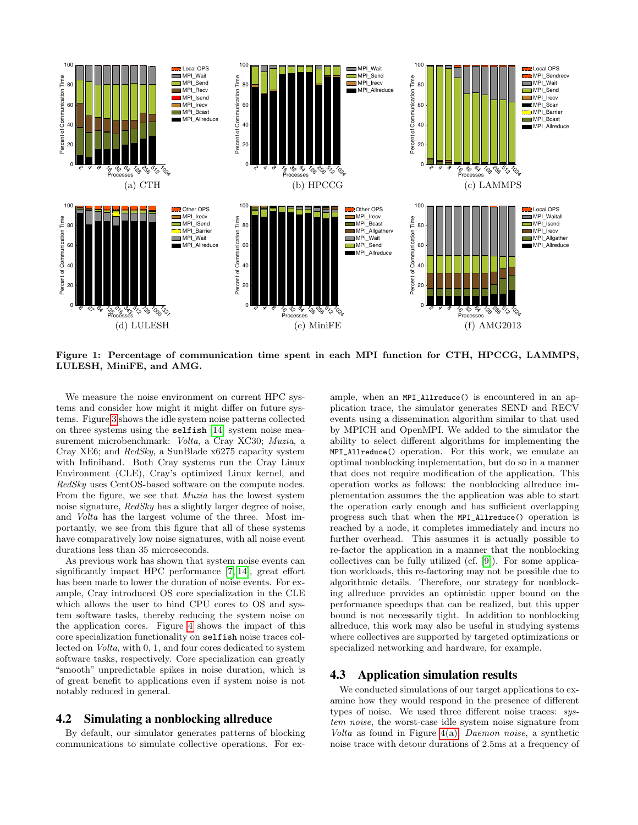

<span id="page-2-0"></span>Figure 1: Percentage of communication time spent in each MPI function for CTH, HPCCG, LAMMPS, LULESH, MiniFE, and AMG.

We measure the noise environment on current HPC systems and consider how might it might differ on future systems. Figure [3](#page-3-1) shows the idle system noise patterns collected on three systems using the selfish [\[14\]](#page-5-6) system noise measurement microbenchmark: Volta, a Cray XC30; Muzia, a Cray XE6; and RedSky, a SunBlade x6275 capacity system with Infiniband. Both Cray systems run the Cray Linux Environment (CLE), Cray's optimized Linux kernel, and RedSky uses CentOS-based software on the compute nodes. From the figure, we see that Muzia has the lowest system noise signature, RedSky has a slightly larger degree of noise. and Volta has the largest volume of the three. Most importantly, we see from this figure that all of these systems have comparatively low noise signatures, with all noise event durations less than 35 microseconds.

As previous work has shown that system noise events can significantly impact HPC performance [\[7,](#page-5-3) [14\]](#page-5-6), great effort has been made to lower the duration of noise events. For example, Cray introduced OS core specialization in the CLE which allows the user to bind CPU cores to OS and system software tasks, thereby reducing the system noise on the application cores. Figure [4](#page-4-0) shows the impact of this core specialization functionality on selfish noise traces collected on Volta, with 0, 1, and four cores dedicated to system software tasks, respectively. Core specialization can greatly "smooth" unpredictable spikes in noise duration, which is of great benefit to applications even if system noise is not notably reduced in general.

#### 4.2 Simulating a nonblocking allreduce

By default, our simulator generates patterns of blocking communications to simulate collective operations. For example, when an MPI\_Allreduce() is encountered in an application trace, the simulator generates SEND and RECV events using a dissemination algorithm similar to that used by MPICH and OpenMPI. We added to the simulator the ability to select different algorithms for implementing the MPI\_Allreduce() operation. For this work, we emulate an optimal nonblocking implementation, but do so in a manner that does not require modification of the application. This operation works as follows: the nonblocking allreduce implementation assumes the the application was able to start the operation early enough and has sufficient overlapping progress such that when the MPI\_Allreduce() operation is reached by a node, it completes immediately and incurs no further overhead. This assumes it is actually possible to re-factor the application in a manner that the nonblocking collectives can be fully utilized (cf. [\[9\]](#page-5-21)). For some application workloads, this re-factoring may not be possible due to algorithmic details. Therefore, our strategy for nonblocking allreduce provides an optimistic upper bound on the performance speedups that can be realized, but this upper bound is not necessarily tight. In addition to nonblocking allreduce, this work may also be useful in studying systems where collectives are supported by targeted optimizations or specialized networking and hardware, for example.

#### 4.3 Application simulation results

We conducted simulations of our target applications to examine how they would respond in the presence of different types of noise. We used three different noise traces: system noise, the worst-case idle system noise signature from Volta as found in Figure  $4(a)$ ; *Daemon noise*, a synthetic noise trace with detour durations of 2.5ms at a frequency of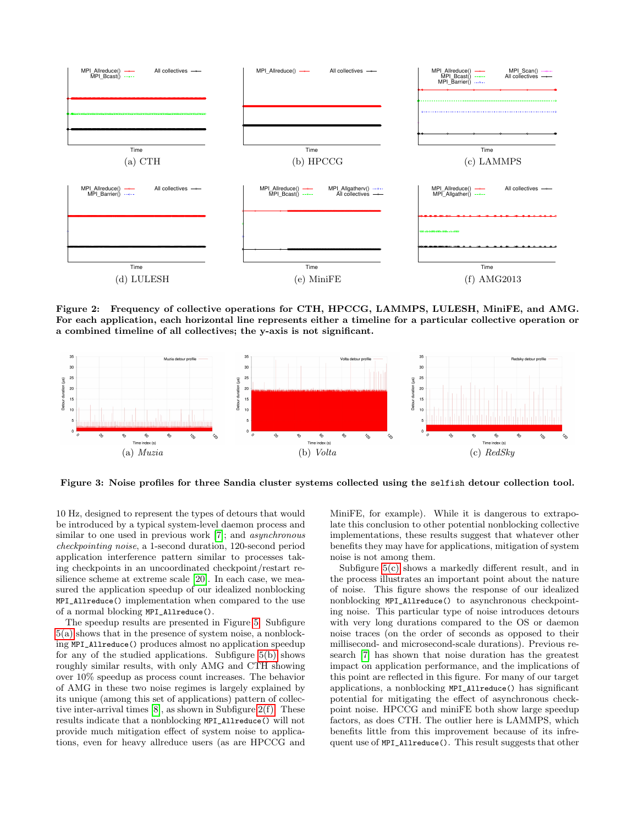

<span id="page-3-0"></span>Figure 2: Frequency of collective operations for CTH, HPCCG, LAMMPS, LULESH, MiniFE, and AMG. For each application, each horizontal line represents either a timeline for a particular collective operation or a combined timeline of all collectives; the y-axis is not significant.



<span id="page-3-1"></span>Figure 3: Noise profiles for three Sandia cluster systems collected using the selfish detour collection tool.

10 Hz, designed to represent the types of detours that would be introduced by a typical system-level daemon process and similar to one used in previous work [\[7\]](#page-5-3); and *asynchronous* checkpointing noise, a 1-second duration, 120-second period application interference pattern similar to processes taking checkpoints in an uncoordinated checkpoint/restart resilience scheme at extreme scale [\[20\]](#page-5-8). In each case, we measured the application speedup of our idealized nonblocking MPI\_Allreduce() implementation when compared to the use of a normal blocking MPI\_Allreduce().

The speedup results are presented in Figure [5.](#page-4-2) Subfigure [5\(a\)](#page-4-3) shows that in the presence of system noise, a nonblocking MPI\_Allreduce() produces almost no application speedup for any of the studied applications. Subfigure [5\(b\)](#page-4-4) shows roughly similar results, with only AMG and CTH showing over 10% speedup as process count increases. The behavior of AMG in these two noise regimes is largely explained by its unique (among this set of applications) pattern of collective inter-arrival times [\[8\]](#page-5-22), as shown in Subfigure [2\(f\).](#page-3-2) These results indicate that a nonblocking MPI\_Allreduce() will not provide much mitigation effect of system noise to applications, even for heavy allreduce users (as are HPCCG and

<span id="page-3-2"></span>MiniFE, for example). While it is dangerous to extrapolate this conclusion to other potential nonblocking collective implementations, these results suggest that whatever other benefits they may have for applications, mitigation of system noise is not among them.

Subfigure [5\(c\)](#page-4-5) shows a markedly different result, and in the process illustrates an important point about the nature of noise. This figure shows the response of our idealized nonblocking MPI\_Allreduce() to asynchronous checkpointing noise. This particular type of noise introduces detours with very long durations compared to the OS or daemon noise traces (on the order of seconds as opposed to their millisecond- and microsecond-scale durations). Previous research [\[7\]](#page-5-3) has shown that noise duration has the greatest impact on application performance, and the implications of this point are reflected in this figure. For many of our target applications, a nonblocking MPI\_Allreduce() has significant potential for mitigating the effect of asynchronous checkpoint noise. HPCCG and miniFE both show large speedup factors, as does CTH. The outlier here is LAMMPS, which benefits little from this improvement because of its infrequent use of MPI\_Allreduce(). This result suggests that other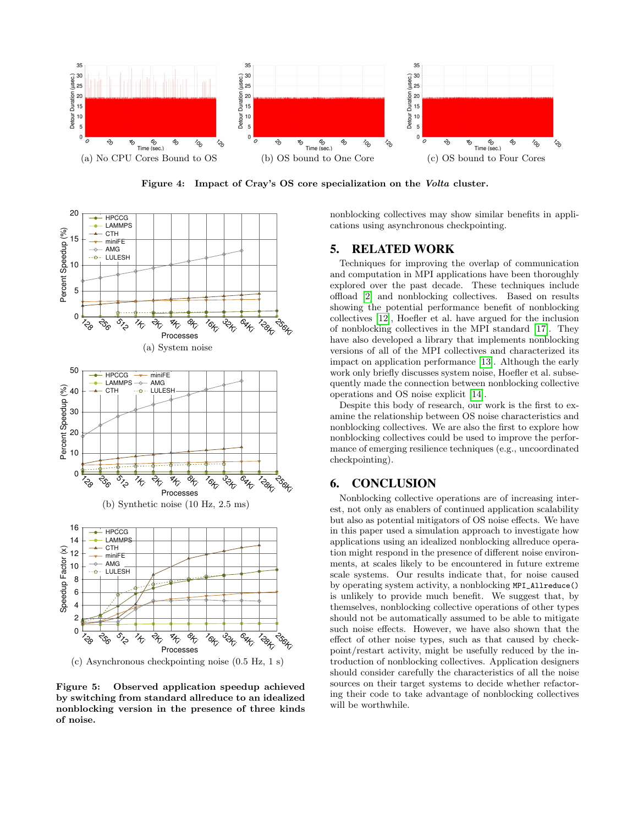<span id="page-4-1"></span>

<span id="page-4-0"></span>Figure 4: Impact of Cray's OS core specialization on the Volta cluster.

<span id="page-4-3"></span>

<span id="page-4-5"></span><span id="page-4-4"></span><span id="page-4-2"></span>(c) Asynchronous checkpointing noise (0.5 Hz, 1 s)

Figure 5: Observed application speedup achieved by switching from standard allreduce to an idealized nonblocking version in the presence of three kinds of noise.

nonblocking collectives may show similar benefits in applications using asynchronous checkpointing.

# 5. RELATED WORK

Techniques for improving the overlap of communication and computation in MPI applications have been thoroughly explored over the past decade. These techniques include offload [\[2\]](#page-5-23) and nonblocking collectives. Based on results showing the potential performance benefit of nonblocking collectives [\[12\]](#page-5-24), Hoefler et al. have argued for the inclusion of nonblocking collectives in the MPI standard [\[17\]](#page-5-1). They have also developed a library that implements nonblocking versions of all of the MPI collectives and characterized its impact on application performance [\[13\]](#page-5-0). Although the early work only briefly discusses system noise, Hoefler et al. subsequently made the connection between nonblocking collective operations and OS noise explicit [\[14\]](#page-5-6).

Despite this body of research, our work is the first to examine the relationship between OS noise characteristics and nonblocking collectives. We are also the first to explore how nonblocking collectives could be used to improve the performance of emerging resilience techniques (e.g., uncoordinated checkpointing).

# 6. CONCLUSION

Nonblocking collective operations are of increasing interest, not only as enablers of continued application scalability but also as potential mitigators of OS noise effects. We have in this paper used a simulation approach to investigate how applications using an idealized nonblocking allreduce operation might respond in the presence of different noise environments, at scales likely to be encountered in future extreme scale systems. Our results indicate that, for noise caused by operating system activity, a nonblocking MPI\_Allreduce() is unlikely to provide much benefit. We suggest that, by themselves, nonblocking collective operations of other types should not be automatically assumed to be able to mitigate such noise effects. However, we have also shown that the effect of other noise types, such as that caused by checkpoint/restart activity, might be usefully reduced by the introduction of nonblocking collectives. Application designers should consider carefully the characteristics of all the noise sources on their target systems to decide whether refactoring their code to take advantage of nonblocking collectives will be worthwhile.